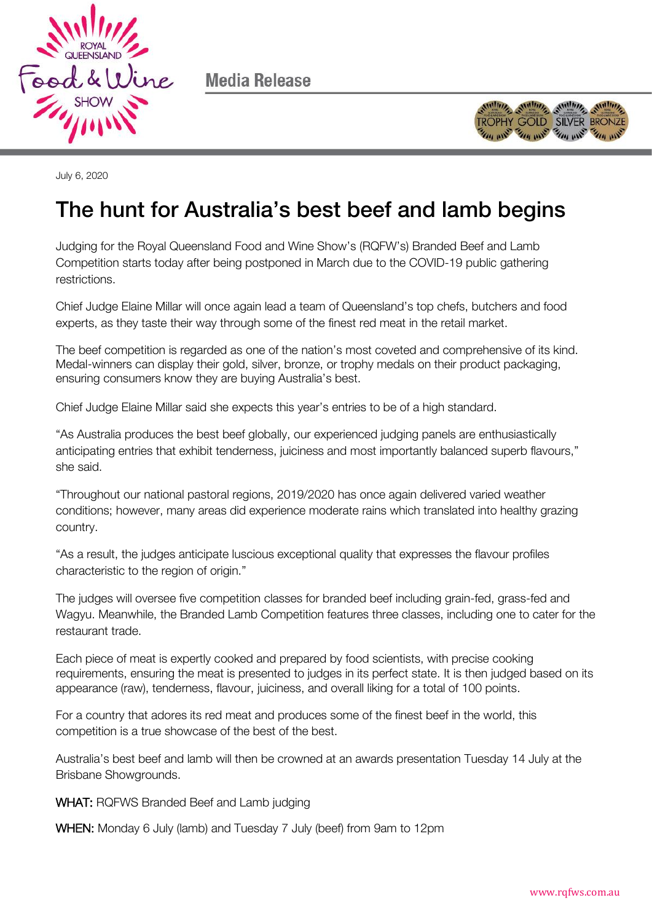

Media Release



July 6, 2020

## The hunt for Australia's best beef and lamb begins

Judging for the Royal Queensland Food and Wine Show's (RQFW's) Branded Beef and Lamb Competition starts today after being postponed in March due to the COVID-19 public gathering restrictions.

Chief Judge Elaine Millar will once again lead a team of Queensland's top chefs, butchers and food experts, as they taste their way through some of the finest red meat in the retail market.

The beef competition is regarded as one of the nation's most coveted and comprehensive of its kind. Medal-winners can display their gold, silver, bronze, or trophy medals on their product packaging, ensuring consumers know they are buying Australia's best.

Chief Judge Elaine Millar said she expects this year's entries to be of a high standard.

"As Australia produces the best beef globally, our experienced judging panels are enthusiastically anticipating entries that exhibit tenderness, juiciness and most importantly balanced superb flavours," she said.

"Throughout our national pastoral regions, 2019/2020 has once again delivered varied weather conditions; however, many areas did experience moderate rains which translated into healthy grazing country.

"As a result, the judges anticipate luscious exceptional quality that expresses the flavour profiles characteristic to the region of origin."

The judges will oversee five competition classes for branded beef including grain-fed, grass-fed and Wagyu. Meanwhile, the Branded Lamb Competition features three classes, including one to cater for the restaurant trade.

Each piece of meat is expertly cooked and prepared by food scientists, with precise cooking requirements, ensuring the meat is presented to judges in its perfect state. It is then judged based on its appearance (raw), tenderness, flavour, juiciness, and overall liking for a total of 100 points.

For a country that adores its red meat and produces some of the finest beef in the world, this competition is a true showcase of the best of the best.

Australia's best beef and lamb will then be crowned at an awards presentation Tuesday 14 July at the Brisbane Showgrounds.

WHAT: RQFWS Branded Beef and Lamb judging

WHEN: Monday 6 July (lamb) and Tuesday 7 July (beef) from 9am to 12pm